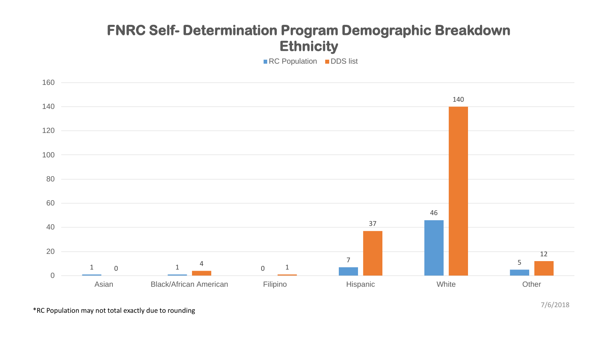# **FNRC Self- Determination Program Demographic Breakdown Ethnicity**

■ RC Population ■ DDS list

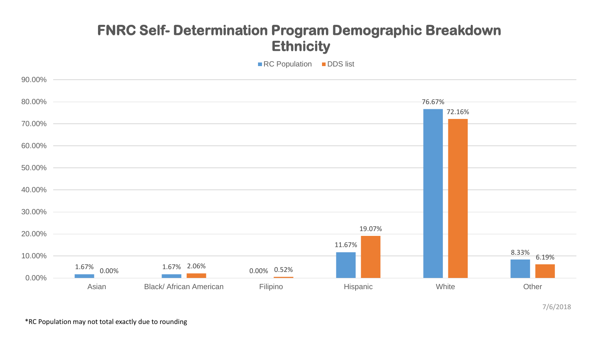#### **FNRC Self- Determination Program Demographic Breakdown Ethnicity**

■ RC Population ■ DDS list



7/6/2018

\*RC Population may not total exactly due to rounding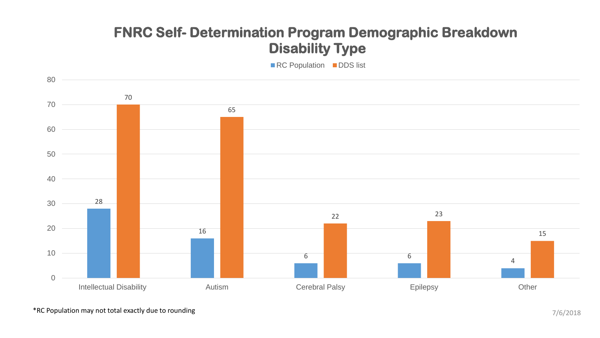# **FNRC Self- Determination Program Demographic Breakdown Disability Type**

■ RC Population ■ DDS list



7/6/2018 \*RC Population may not total exactly due to rounding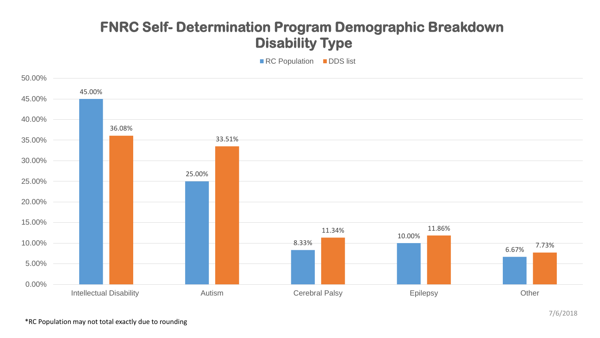# **FNRC Self- Determination Program Demographic Breakdown Disability Type**

■RC Population ■DDS list

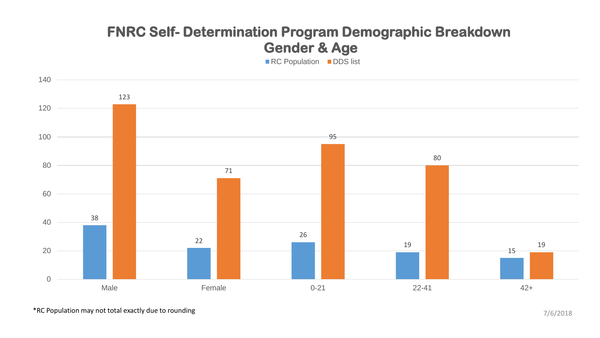# **FNRC Self- Determination Program Demographic Breakdown Gender & Age**

RC Population DDS list